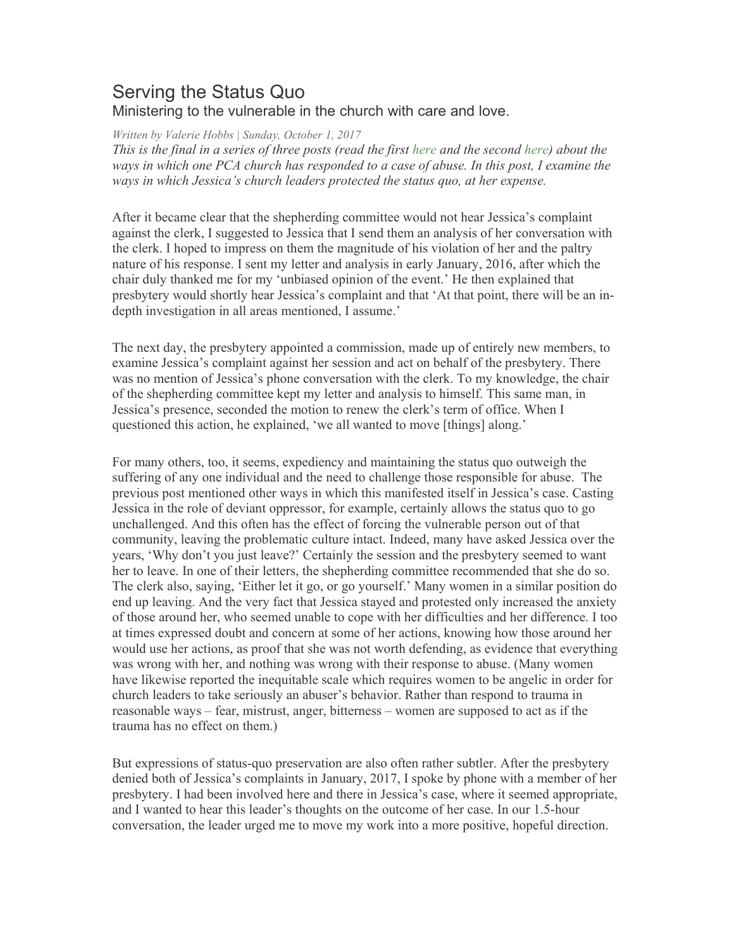## Serving the Status Quo Ministering to the vulnerable in the church with care and love.

*Written by Valerie Hobbs | Sunday, October 1, 2017* 

*This is the final in a series of three posts (read the first here and the second here) about the ways in which one PCA church has responded to a case of abuse. In this post, I examine the ways in which Jessica's church leaders protected the status quo, at her expense.*

After it became clear that the shepherding committee would not hear Jessica's complaint against the clerk, I suggested to Jessica that I send them an analysis of her conversation with the clerk. I hoped to impress on them the magnitude of his violation of her and the paltry nature of his response. I sent my letter and analysis in early January, 2016, after which the chair duly thanked me for my 'unbiased opinion of the event.' He then explained that presbytery would shortly hear Jessica's complaint and that 'At that point, there will be an indepth investigation in all areas mentioned, I assume.'

The next day, the presbytery appointed a commission, made up of entirely new members, to examine Jessica's complaint against her session and act on behalf of the presbytery. There was no mention of Jessica's phone conversation with the clerk. To my knowledge, the chair of the shepherding committee kept my letter and analysis to himself. This same man, in Jessica's presence, seconded the motion to renew the clerk's term of office. When I questioned this action, he explained, 'we all wanted to move [things] along.'

For many others, too, it seems, expediency and maintaining the status quo outweigh the suffering of any one individual and the need to challenge those responsible for abuse. The previous post mentioned other ways in which this manifested itself in Jessica's case. Casting Jessica in the role of deviant oppressor, for example, certainly allows the status quo to go unchallenged. And this often has the effect of forcing the vulnerable person out of that community, leaving the problematic culture intact. Indeed, many have asked Jessica over the years, 'Why don't you just leave?' Certainly the session and the presbytery seemed to want her to leave. In one of their letters, the shepherding committee recommended that she do so. The clerk also, saying, 'Either let it go, or go yourself.' Many women in a similar position do end up leaving. And the very fact that Jessica stayed and protested only increased the anxiety of those around her, who seemed unable to cope with her difficulties and her difference. I too at times expressed doubt and concern at some of her actions, knowing how those around her would use her actions, as proof that she was not worth defending, as evidence that everything was wrong with her, and nothing was wrong with their response to abuse. (Many women have likewise reported the inequitable scale which requires women to be angelic in order for church leaders to take seriously an abuser's behavior. Rather than respond to trauma in reasonable ways – fear, mistrust, anger, bitterness – women are supposed to act as if the trauma has no effect on them.)

But expressions of status-quo preservation are also often rather subtler. After the presbytery denied both of Jessica's complaints in January, 2017, I spoke by phone with a member of her presbytery. I had been involved here and there in Jessica's case, where it seemed appropriate, and I wanted to hear this leader's thoughts on the outcome of her case. In our 1.5-hour conversation, the leader urged me to move my work into a more positive, hopeful direction.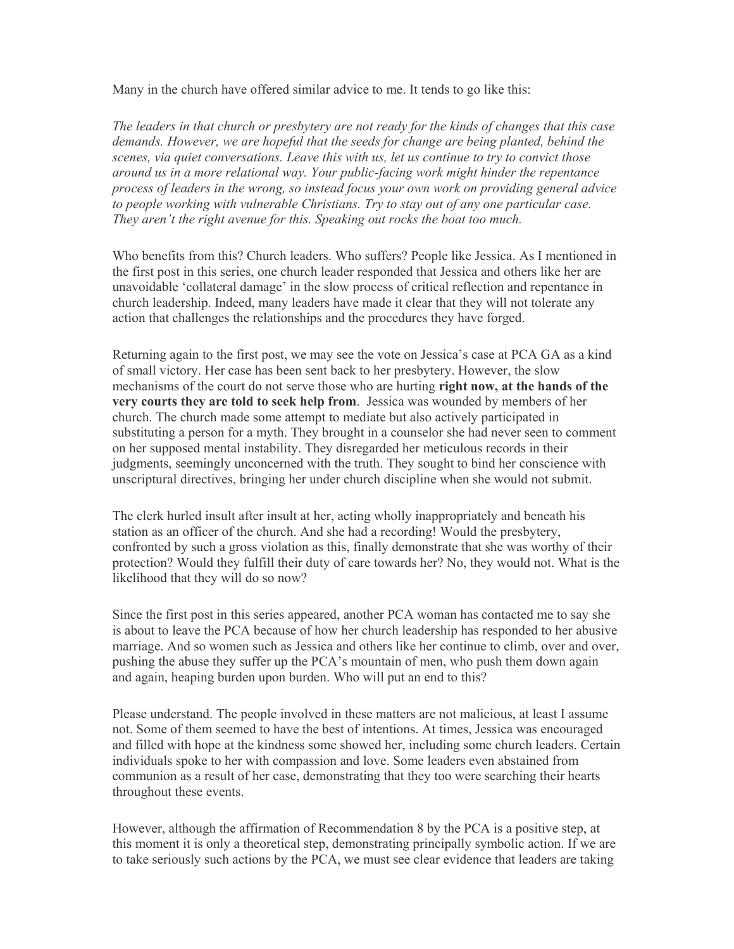Many in the church have offered similar advice to me. It tends to go like this:

*The leaders in that church or presbytery are not ready for the kinds of changes that this case demands. However, we are hopeful that the seeds for change are being planted, behind the scenes, via quiet conversations. Leave this with us, let us continue to try to convict those around us in a more relational way. Your public-facing work might hinder the repentance process of leaders in the wrong, so instead focus your own work on providing general advice to people working with vulnerable Christians. Try to stay out of any one particular case. They aren't the right avenue for this. Speaking out rocks the boat too much.*

Who benefits from this? Church leaders. Who suffers? People like Jessica. As I mentioned in the first post in this series, one church leader responded that Jessica and others like her are unavoidable 'collateral damage' in the slow process of critical reflection and repentance in church leadership. Indeed, many leaders have made it clear that they will not tolerate any action that challenges the relationships and the procedures they have forged.

Returning again to the first post, we may see the vote on Jessica's case at PCA GA as a kind of small victory. Her case has been sent back to her presbytery. However, the slow mechanisms of the court do not serve those who are hurting **right now, at the hands of the very courts they are told to seek help from**. Jessica was wounded by members of her church. The church made some attempt to mediate but also actively participated in substituting a person for a myth. They brought in a counselor she had never seen to comment on her supposed mental instability. They disregarded her meticulous records in their judgments, seemingly unconcerned with the truth. They sought to bind her conscience with unscriptural directives, bringing her under church discipline when she would not submit.

The clerk hurled insult after insult at her, acting wholly inappropriately and beneath his station as an officer of the church. And she had a recording! Would the presbytery, confronted by such a gross violation as this, finally demonstrate that she was worthy of their protection? Would they fulfill their duty of care towards her? No, they would not. What is the likelihood that they will do so now?

Since the first post in this series appeared, another PCA woman has contacted me to say she is about to leave the PCA because of how her church leadership has responded to her abusive marriage. And so women such as Jessica and others like her continue to climb, over and over, pushing the abuse they suffer up the PCA's mountain of men, who push them down again and again, heaping burden upon burden. Who will put an end to this?

Please understand. The people involved in these matters are not malicious, at least I assume not. Some of them seemed to have the best of intentions. At times, Jessica was encouraged and filled with hope at the kindness some showed her, including some church leaders. Certain individuals spoke to her with compassion and love. Some leaders even abstained from communion as a result of her case, demonstrating that they too were searching their hearts throughout these events.

However, although the affirmation of Recommendation 8 by the PCA is a positive step, at this moment it is only a theoretical step, demonstrating principally symbolic action. If we are to take seriously such actions by the PCA, we must see clear evidence that leaders are taking